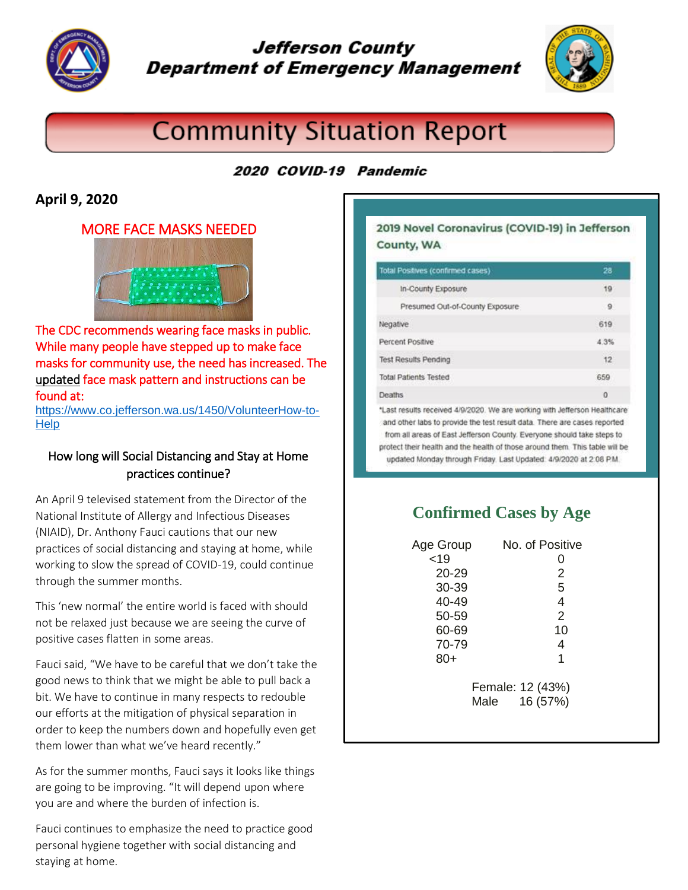

# **Jefferson County Department of Emergency Management**



# **Community Situation Report**

## 2020 COVID-19 Pandemic

### **April 9, 2020**

#### MORE FACE MASKS NEEDED



The CDC recommends wearing face masks in public. While many people have stepped up to make face masks for community use, the need has increased. The updated face mask pattern and instructions can be found at:

[https://www.co.jefferson.wa.us/1450/VolunteerHow-to-](https://www.co.jefferson.wa.us/1450/VolunteerHow-to-Help)**[Help](https://www.co.jefferson.wa.us/1450/VolunteerHow-to-Help)** 

#### How long will Social Distancing and Stay at Home practices continue?

An April 9 televised statement from the Director of the National Institute of Allergy and Infectious Diseases (NIAID), Dr. Anthony Fauci cautions that our new practices of social distancing and staying at home, while working to slow the spread of COVID-19, could continue through the summer months.

This 'new normal' the entire world is faced with should not be relaxed just because we are seeing the curve of positive cases flatten in some areas.

Fauci said, "We have to be careful that we don't take the good news to think that we might be able to pull back a bit. We have to continue in many respects to redouble our efforts at the mitigation of physical separation in order to keep the numbers down and hopefully even get them lower than what we've heard recently."

As for the summer months, Fauci says it looks like things are going to be improving. "It will depend upon where you are and where the burden of infection is.

Fauci continues to emphasize the need to practice good personal hygiene together with social distancing and staying at home.

#### 2019 Novel Coronavirus (COVID-19) in Jefferson County, WA

| Total Positives (confirmed cases)                                                                           | 28   |
|-------------------------------------------------------------------------------------------------------------|------|
| In-County Exposure                                                                                          | 19   |
| Presumed Out-of-County Exposure                                                                             | 9    |
| Negative                                                                                                    | 619  |
| Percent Positive                                                                                            | 4.3% |
| <b>Test Results Pending</b>                                                                                 | 12   |
| <b>Total Patients Tested</b>                                                                                | 659  |
| <b>Deaths</b>                                                                                               | 0    |
| 22 MARCA MARCA LA CARA MARCA A DELE BERGERA DEL LA VALCIANA MENOR CAN MELA TERRETA L'ORIGINALE UNE ESPECIAL |      |

\*Last results received 4/9/2020. We are working with Jefferson Healthcare and other labs to provide the test result data. There are cases reported from all areas of East Jefferson County. Everyone should take steps to protect their health and the health of those around them. This table will be updated Monday through Friday. Last Updated: 4/9/2020 at 2:08 P.M.

## **Confirmed Cases by Age**

| Age Group        | No. of Positive  |
|------------------|------------------|
| < 19             | 0                |
| 20-29            | 2                |
| 30-39            | 5                |
| 40-49            | $\overline{4}$   |
| 50-59            | $\overline{2}$   |
| 60-69            | 10               |
| 70-79            | 4                |
| $80+$            | 1                |
| Female: 12 (43%) |                  |
|                  | 16 (57%)<br>Male |